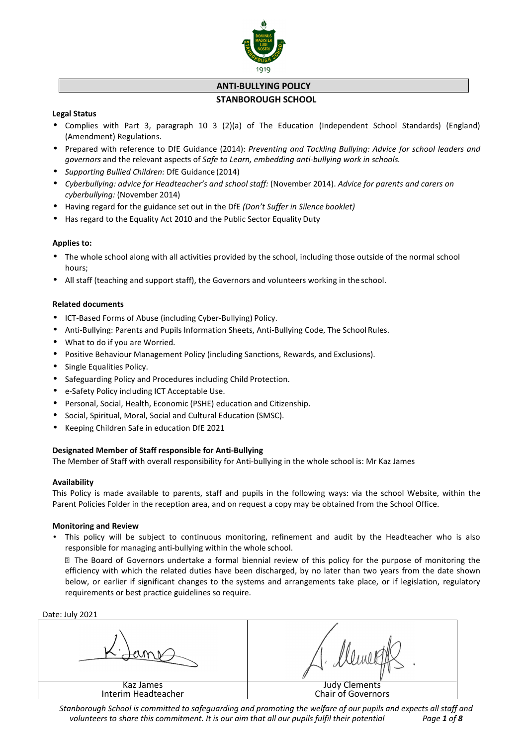

# **ANTI-BULLYING POLICY**

# **STANBOROUGH SCHOOL**

# **Legal Status**

- Complies with Part 3, paragraph 10 3 (2)(a) of The Education (Independent School Standards) (England) (Amendment) Regulations.
- Prepared with reference to DfE Guidance (2014): *Preventing and Tackling Bullying: Advice for school leaders and governors* and the relevant aspects of *Safe to Learn, embedding anti-bullying work in schools.*
- *Supporting Bullied Children:* DfE Guidance (2014)
- *Cyberbullying: advice for Headteacher's and school staff:* (November 2014). *Advice for parents and carers on cyberbullying:* (November 2014)
- Having regard for the guidance set out in the DfE *(Don't Suffer in Silence booklet)*
- Has regard to the Equality Act 2010 and the Public Sector Equality Duty

# **Applies to:**

- The whole school along with all activities provided by the school, including those outside of the normal school hours;
- All staff (teaching and support staff), the Governors and volunteers working in the school.

# **Related documents**

- ICT-Based Forms of Abuse (including Cyber-Bullying) Policy.
- Anti-Bullying: Parents and Pupils Information Sheets, Anti-Bullying Code, The School Rules.
- What to do if you are Worried.
- Positive Behaviour Management Policy (including Sanctions, Rewards, and Exclusions).
- Single Equalities Policy.
- Safeguarding Policy and Procedures including Child Protection.
- e-Safety Policy including ICT Acceptable Use.
- Personal, Social, Health, Economic (PSHE) education and Citizenship.
- Social, Spiritual, Moral, Social and Cultural Education (SMSC).
- Keeping Children Safe in education DfE 2021

# **Designated Member of Staff responsible for Anti-Bullying**

The Member of Staff with overall responsibility for Anti-bullying in the whole school is: Mr Kaz James

# **Availability**

This Policy is made available to parents, staff and pupils in the following ways: via the school Website, within the Parent Policies Folder in the reception area, and on request a copy may be obtained from the School Office.

# **Monitoring and Review**

• This policy will be subject to continuous monitoring, refinement and audit by the Headteacher who is also responsible for managing anti-bullying within the whole school.

I The Board of Governors undertake a formal biennial review of this policy for the purpose of monitoring the efficiency with which the related duties have been discharged, by no later than two years from the date shown below, or earlier if significant changes to the systems and arrangements take place, or if legislation, regulatory requirements or best practice guidelines so require.

Date: July 2021

| Judy Clements<br>Chair of Governors |
|-------------------------------------|
|                                     |

*Stanborough School is committed to safeguarding and promoting the welfare of our pupils and expects all staff and volunteers to share this commitment. It is our aim that all our pupils fulfil their potential Page 1 of 8*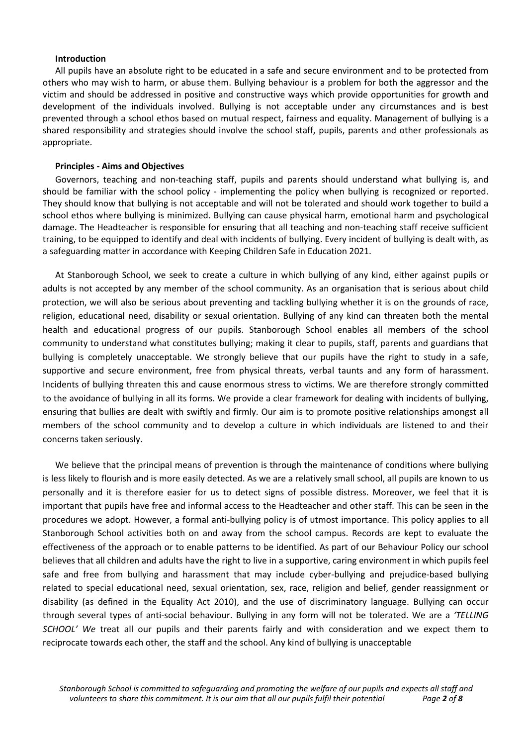#### **Introduction**

All pupils have an absolute right to be educated in a safe and secure environment and to be protected from others who may wish to harm, or abuse them. Bullying behaviour is a problem for both the aggressor and the victim and should be addressed in positive and constructive ways which provide opportunities for growth and development of the individuals involved. Bullying is not acceptable under any circumstances and is best prevented through a school ethos based on mutual respect, fairness and equality. Management of bullying is a shared responsibility and strategies should involve the school staff, pupils, parents and other professionals as appropriate.

#### **Principles - Aims and Objectives**

Governors, teaching and non-teaching staff, pupils and parents should understand what bullying is, and should be familiar with the school policy - implementing the policy when bullying is recognized or reported. They should know that bullying is not acceptable and will not be tolerated and should work together to build a school ethos where bullying is minimized. Bullying can cause physical harm, emotional harm and psychological damage. The Headteacher is responsible for ensuring that all teaching and non-teaching staff receive sufficient training, to be equipped to identify and deal with incidents of bullying. Every incident of bullying is dealt with, as a safeguarding matter in accordance with Keeping Children Safe in Education 2021.

At Stanborough School, we seek to create a culture in which bullying of any kind, either against pupils or adults is not accepted by any member of the school community. As an organisation that is serious about child protection, we will also be serious about preventing and tackling bullying whether it is on the grounds of race, religion, educational need, disability or sexual orientation. Bullying of any kind can threaten both the mental health and educational progress of our pupils. Stanborough School enables all members of the school community to understand what constitutes bullying; making it clear to pupils, staff, parents and guardians that bullying is completely unacceptable. We strongly believe that our pupils have the right to study in a safe, supportive and secure environment, free from physical threats, verbal taunts and any form of harassment. Incidents of bullying threaten this and cause enormous stress to victims. We are therefore strongly committed to the avoidance of bullying in all its forms. We provide a clear framework for dealing with incidents of bullying, ensuring that bullies are dealt with swiftly and firmly. Our aim is to promote positive relationships amongst all members of the school community and to develop a culture in which individuals are listened to and their concerns taken seriously.

We believe that the principal means of prevention is through the maintenance of conditions where bullying is less likely to flourish and is more easily detected. As we are a relatively small school, all pupils are known to us personally and it is therefore easier for us to detect signs of possible distress. Moreover, we feel that it is important that pupils have free and informal access to the Headteacher and other staff. This can be seen in the procedures we adopt. However, a formal anti-bullying policy is of utmost importance. This policy applies to all Stanborough School activities both on and away from the school campus. Records are kept to evaluate the effectiveness of the approach or to enable patterns to be identified. As part of our Behaviour Policy our school believes that all children and adults have the right to live in a supportive, caring environment in which pupils feel safe and free from bullying and harassment that may include cyber-bullying and prejudice-based bullying related to special educational need, sexual orientation, sex, race, religion and belief, gender reassignment or disability (as defined in the Equality Act 2010), and the use of discriminatory language. Bullying can occur through several types of anti-social behaviour. Bullying in any form will not be tolerated. We are a *'TELLING SCHOOL' We* treat all our pupils and their parents fairly and with consideration and we expect them to reciprocate towards each other, the staff and the school. Any kind of bullying is unacceptable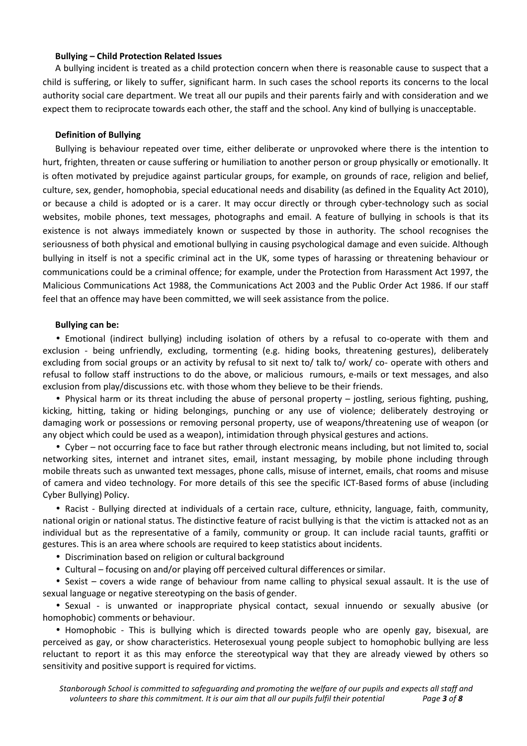### **Bullying – Child Protection Related Issues**

A bullying incident is treated as a child protection concern when there is reasonable cause to suspect that a child is suffering, or likely to suffer, significant harm. In such cases the school reports its concerns to the local authority social care department. We treat all our pupils and their parents fairly and with consideration and we expect them to reciprocate towards each other, the staff and the school. Any kind of bullying is unacceptable.

# **Definition of Bullying**

Bullying is behaviour repeated over time, either deliberate or unprovoked where there is the intention to hurt, frighten, threaten or cause suffering or humiliation to another person or group physically or emotionally. It is often motivated by prejudice against particular groups, for example, on grounds of race, religion and belief, culture, sex, gender, homophobia, special educational needs and disability (as defined in the Equality Act 2010), or because a child is adopted or is a carer. It may occur directly or through cyber-technology such as social websites, mobile phones, text messages, photographs and email. A feature of bullying in schools is that its existence is not always immediately known or suspected by those in authority. The school recognises the seriousness of both physical and emotional bullying in causing psychological damage and even suicide. Although bullying in itself is not a specific criminal act in the UK, some types of harassing or threatening behaviour or communications could be a criminal offence; for example, under the Protection from Harassment Act 1997, the Malicious Communications Act 1988, the Communications Act 2003 and the Public Order Act 1986. If our staff feel that an offence may have been committed, we will seek assistance from the police.

### **Bullying can be:**

• Emotional (indirect bullying) including isolation of others by a refusal to co-operate with them and exclusion - being unfriendly, excluding, tormenting (e.g. hiding books, threatening gestures), deliberately excluding from social groups or an activity by refusal to sit next to/ talk to/ work/ co- operate with others and refusal to follow staff instructions to do the above, or malicious rumours, e-mails or text messages, and also exclusion from play/discussions etc. with those whom they believe to be their friends.

• Physical harm or its threat including the abuse of personal property – jostling, serious fighting, pushing, kicking, hitting, taking or hiding belongings, punching or any use of violence; deliberately destroying or damaging work or possessions or removing personal property, use of weapons/threatening use of weapon (or any object which could be used as a weapon), intimidation through physical gestures and actions.

• Cyber – not occurring face to face but rather through electronic means including, but not limited to, social networking sites, internet and intranet sites, email, instant messaging, by mobile phone including through mobile threats such as unwanted text messages, phone calls, misuse of internet, emails, chat rooms and misuse of camera and video technology. For more details of this see the specific ICT-Based forms of abuse (including Cyber Bullying) Policy.

• Racist - Bullying directed at individuals of a certain race, culture, ethnicity, language, faith, community, national origin or national status. The distinctive feature of racist bullying is that the victim is attacked not as an individual but as the representative of a family, community or group. It can include racial taunts, graffiti or gestures. This is an area where schools are required to keep statistics about incidents.

• Discrimination based on religion or cultural background

• Cultural – focusing on and/or playing off perceived cultural differences or similar.

• Sexist – covers a wide range of behaviour from name calling to physical sexual assault. It is the use of sexual language or negative stereotyping on the basis of gender.

• Sexual - is unwanted or inappropriate physical contact, sexual innuendo or sexually abusive (or homophobic) comments or behaviour.

• Homophobic - This is bullying which is directed towards people who are openly gay, bisexual, are perceived as gay, or show characteristics. Heterosexual young people subject to homophobic bullying are less reluctant to report it as this may enforce the stereotypical way that they are already viewed by others so sensitivity and positive support is required for victims.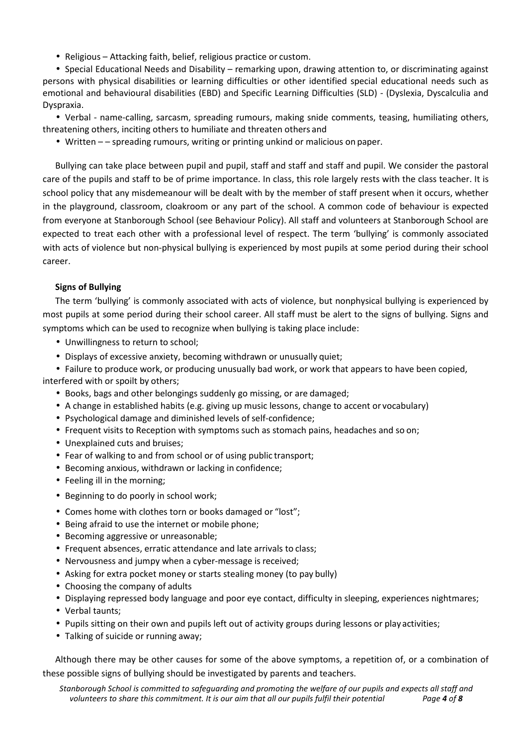• Religious – Attacking faith, belief, religious practice or custom.

• Special Educational Needs and Disability – remarking upon, drawing attention to, or discriminating against persons with physical disabilities or learning difficulties or other identified special educational needs such as emotional and behavioural disabilities (EBD) and Specific Learning Difficulties (SLD) - (Dyslexia, Dyscalculia and Dyspraxia.

• Verbal - name-calling, sarcasm, spreading rumours, making snide comments, teasing, humiliating others, threatening others, inciting others to humiliate and threaten others and

• Written – – spreading rumours, writing or printing unkind or malicious on paper.

Bullying can take place between pupil and pupil, staff and staff and staff and pupil. We consider the pastoral care of the pupils and staff to be of prime importance. In class, this role largely rests with the class teacher. It is school policy that any misdemeanour will be dealt with by the member of staff present when it occurs, whether in the playground, classroom, cloakroom or any part of the school. A common code of behaviour is expected from everyone at Stanborough School (see Behaviour Policy). All staff and volunteers at Stanborough School are expected to treat each other with a professional level of respect. The term 'bullying' is commonly associated with acts of violence but non-physical bullying is experienced by most pupils at some period during their school career.

# **Signs of Bullying**

The term 'bullying' is commonly associated with acts of violence, but nonphysical bullying is experienced by most pupils at some period during their school career. All staff must be alert to the signs of bullying. Signs and symptoms which can be used to recognize when bullying is taking place include:

- Unwillingness to return to school;
- Displays of excessive anxiety, becoming withdrawn or unusually quiet;

• Failure to produce work, or producing unusually bad work, or work that appears to have been copied, interfered with or spoilt by others;

- Books, bags and other belongings suddenly go missing, or are damaged;
- A change in established habits (e.g. giving up music lessons, change to accent or vocabulary)
- Psychological damage and diminished levels of self-confidence;
- Frequent visits to Reception with symptoms such as stomach pains, headaches and so on;
- Unexplained cuts and bruises;
- Fear of walking to and from school or of using public transport;
- Becoming anxious, withdrawn or lacking in confidence;
- Feeling ill in the morning;
- Beginning to do poorly in school work;
- Comes home with clothes torn or books damaged or "lost";
- Being afraid to use the internet or mobile phone;
- Becoming aggressive or unreasonable;
- Frequent absences, erratic attendance and late arrivals to class;
- Nervousness and jumpy when a cyber-message is received;
- Asking for extra pocket money or starts stealing money (to pay bully)
- Choosing the company of adults
- Displaying repressed body language and poor eye contact, difficulty in sleeping, experiences nightmares;
- Verbal taunts;
- Pupils sitting on their own and pupils left out of activity groups during lessons or play activities;
- Talking of suicide or running away;

Although there may be other causes for some of the above symptoms, a repetition of, or a combination of these possible signs of bullying should be investigated by parents and teachers.

*Stanborough School is committed to safeguarding and promoting the welfare of our pupils and expects all staff and volunteers to share this commitment. It is our aim that all our pupils fulfil their potential* Page **4** of **8**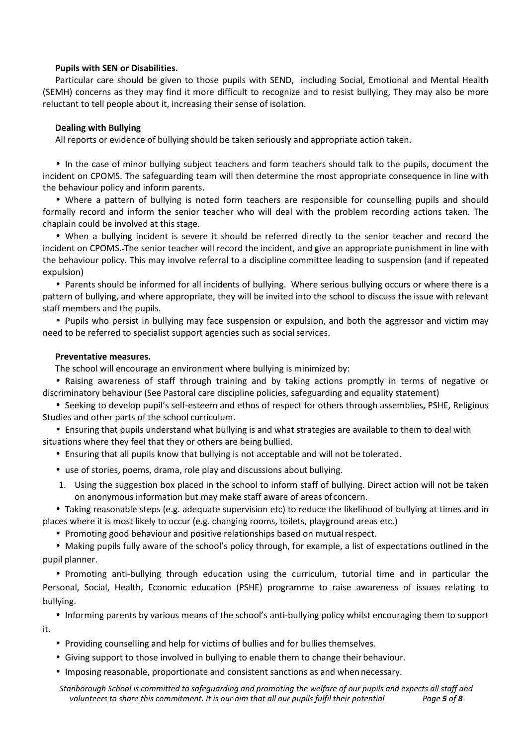# **Pupils with SEN or Disabilities.**

Particular care should be given to those pupils with SEND, including Social, Emotional and Mental Health (SEMH) concerns as they may find it more difficult to recognize and to resist bullying, They may also be more reluctant to tell people about it, increasing their sense of isolation.

### **Dealing with Bullying**

All reports or evidence of bullying should be taken seriously and appropriate action taken.

• In the case of minor bullying subject teachers and form teachers should talk to the pupils, document the incident on CPOMS. The safeguarding team will then determine the most appropriate consequence in line with the behaviour policy and inform parents.

• Where a pattern of bullying is noted form teachers are responsible for counselling pupils and should formally record and inform the senior teacher who will deal with the problem recording actions taken. The chaplain could be involved at this stage.

• When a bullying incident is severe it should be referred directly to the senior teacher and record the incident on CPOMS. The senior teacher will record the incident, and give an appropriate punishment in line with the behaviour policy. This may involve referral to a discipline committee leading to suspension (and if repeated expulsion)

• Parents should be informed for all incidents of bullying. Where serious bullying occurs or where there is a pattern of bullying, and where appropriate, they will be invited into the school to discuss the issue with relevant staff members and the pupils.

• Pupils who persist in bullying may face suspension or expulsion, and both the aggressor and victim may need to be referred to specialist support agencies such as social services.

#### **Preventative measures.**

The school will encourage an environment where bullying is minimized by:

• Raising awareness of staff through training and by taking actions promptly in terms of negative or discriminatory behaviour (See Pastoral care discipline policies, safeguarding and equality statement)

• Seeking to develop pupil's self-esteem and ethos of respect for others through assemblies, PSHE, Religious Studies and other parts of the school curriculum.

• Ensuring that pupils understand what bullying is and what strategies are available to them to deal with situations where they feel that they or others are being bullied.

• Ensuring that all pupils know that bullying is not acceptable and will not be tolerated.

- use of stories, poems, drama, role play and discussions about bullying.
- 1. Using the suggestion box placed in the school to inform staff of bullying. Direct action will not be taken on anonymous information but may make staff aware of areas of concern.

• Taking reasonable steps (e.g. adequate supervision etc) to reduce the likelihood of bullying at times and in places where it is most likely to occur (e.g. changing rooms, toilets, playground areas etc.)

• Promoting good behaviour and positive relationships based on mutual respect.

• Making pupils fully aware of the school's policy through, for example, a list of expectations outlined in the pupil planner.

• Promoting anti-bullying through education using the curriculum, tutorial time and in particular the Personal, Social, Health, Economic education (PSHE) programme to raise awareness of issues relating to bullying.

• Informing parents by various means of the school's anti-bullying policy whilst encouraging them to support it.

- Providing counselling and help for victims of bullies and for bullies themselves.
- Giving support to those involved in bullying to enable them to change their behaviour.
- Imposing reasonable, proportionate and consistent sanctions as and when necessary.

*Stanborough School is committed to safeguarding and promoting the welfare of our pupils and expects all staff and volunteers to share this commitment. It is our aim that all our pupils fulfil their potential Page 5 of 8*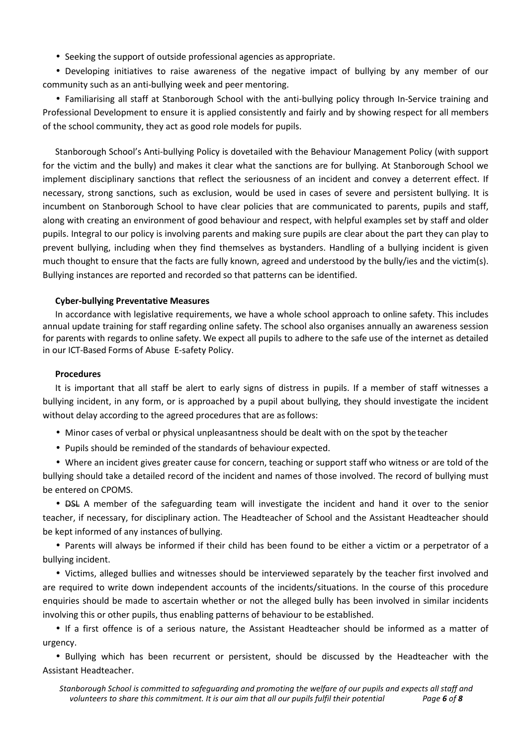• Seeking the support of outside professional agencies as appropriate.

• Developing initiatives to raise awareness of the negative impact of bullying by any member of our community such as an anti-bullying week and peer mentoring.

• Familiarising all staff at Stanborough School with the anti-bullying policy through In-Service training and Professional Development to ensure it is applied consistently and fairly and by showing respect for all members of the school community, they act as good role models for pupils.

Stanborough School's Anti-bullying Policy is dovetailed with the Behaviour Management Policy (with support for the victim and the bully) and makes it clear what the sanctions are for bullying. At Stanborough School we implement disciplinary sanctions that reflect the seriousness of an incident and convey a deterrent effect. If necessary, strong sanctions, such as exclusion, would be used in cases of severe and persistent bullying. It is incumbent on Stanborough School to have clear policies that are communicated to parents, pupils and staff, along with creating an environment of good behaviour and respect, with helpful examples set by staff and older pupils. Integral to our policy is involving parents and making sure pupils are clear about the part they can play to prevent bullying, including when they find themselves as bystanders. Handling of a bullying incident is given much thought to ensure that the facts are fully known, agreed and understood by the bully/ies and the victim(s). Bullying instances are reported and recorded so that patterns can be identified.

### **Cyber-bullying Preventative Measures**

In accordance with legislative requirements, we have a whole school approach to online safety. This includes annual update training for staff regarding online safety. The school also organises annually an awareness session for parents with regards to online safety. We expect all pupils to adhere to the safe use of the internet as detailed in our ICT-Based Forms of Abuse E-safety Policy.

#### **Procedures**

It is important that all staff be alert to early signs of distress in pupils. If a member of staff witnesses a bullying incident, in any form, or is approached by a pupil about bullying, they should investigate the incident without delay according to the agreed procedures that are as follows:

- Minor cases of verbal or physical unpleasantness should be dealt with on the spot by the teacher
- Pupils should be reminded of the standards of behaviour expected.

• Where an incident gives greater cause for concern, teaching or support staff who witness or are told of the bullying should take a detailed record of the incident and names of those involved. The record of bullying must be entered on CPOMS.

• **DSL** A member of the safeguarding team will investigate the incident and hand it over to the senior teacher, if necessary, for disciplinary action. The Headteacher of School and the Assistant Headteacher should be kept informed of any instances of bullying.

• Parents will always be informed if their child has been found to be either a victim or a perpetrator of a bullying incident.

• Victims, alleged bullies and witnesses should be interviewed separately by the teacher first involved and are required to write down independent accounts of the incidents/situations. In the course of this procedure enquiries should be made to ascertain whether or not the alleged bully has been involved in similar incidents involving this or other pupils, thus enabling patterns of behaviour to be established.

• If a first offence is of a serious nature, the Assistant Headteacher should be informed as a matter of urgency.

• Bullying which has been recurrent or persistent, should be discussed by the Headteacher with the Assistant Headteacher.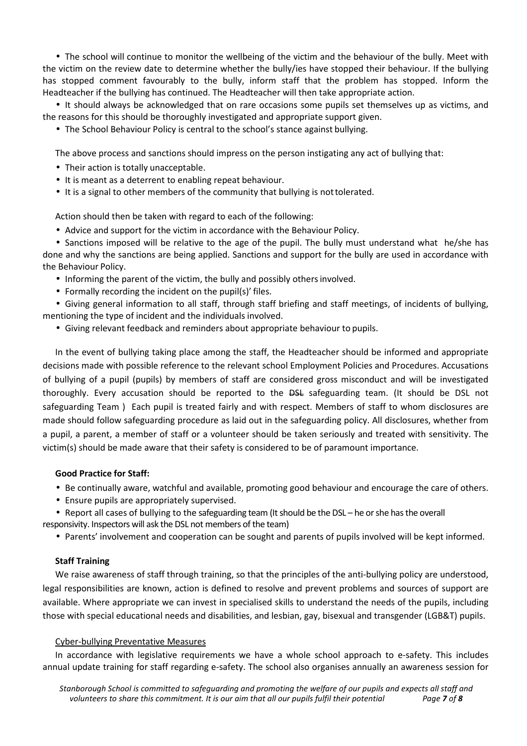• The school will continue to monitor the wellbeing of the victim and the behaviour of the bully. Meet with the victim on the review date to determine whether the bully/ies have stopped their behaviour. If the bullying has stopped comment favourably to the bully, inform staff that the problem has stopped. Inform the Headteacher if the bullying has continued. The Headteacher will then take appropriate action.

• It should always be acknowledged that on rare occasions some pupils set themselves up as victims, and the reasons for this should be thoroughly investigated and appropriate support given.

• The School Behaviour Policy is central to the school's stance against bullying.

The above process and sanctions should impress on the person instigating any act of bullying that:

- Their action is totally unacceptable.
- It is meant as a deterrent to enabling repeat behaviour.
- It is a signal to other members of the community that bullying is not tolerated.

Action should then be taken with regard to each of the following:

• Advice and support for the victim in accordance with the Behaviour Policy.

• Sanctions imposed will be relative to the age of the pupil. The bully must understand what he/she has done and why the sanctions are being applied. Sanctions and support for the bully are used in accordance with the Behaviour Policy.

- Informing the parent of the victim, the bully and possibly others involved.
- Formally recording the incident on the pupil(s)' files.

• Giving general information to all staff, through staff briefing and staff meetings, of incidents of bullying, mentioning the type of incident and the individuals involved.

• Giving relevant feedback and reminders about appropriate behaviour to pupils.

In the event of bullying taking place among the staff, the Headteacher should be informed and appropriate decisions made with possible reference to the relevant school Employment Policies and Procedures. Accusations of bullying of a pupil (pupils) by members of staff are considered gross misconduct and will be investigated thoroughly. Every accusation should be reported to the <del>DSL</del> safeguarding team. (It should be DSL not safeguarding Team ) Each pupil is treated fairly and with respect. Members of staff to whom disclosures are made should follow safeguarding procedure as laid out in the safeguarding policy. All disclosures, whether from a pupil, a parent, a member of staff or a volunteer should be taken seriously and treated with sensitivity. The victim(s) should be made aware that their safety is considered to be of paramount importance.

# **Good Practice for Staff:**

- Be continually aware, watchful and available, promoting good behaviour and encourage the care of others.
- Ensure pupils are appropriately supervised.

• Report all cases of bullying to the safeguarding team (It should be the DSL – he or she has the overall

- responsivity. Inspectors will ask the DSL not members of the team)
	- Parents' involvement and cooperation can be sought and parents of pupils involved will be kept informed.

# **Staff Training**

We raise awareness of staff through training, so that the principles of the anti-bullying policy are understood, legal responsibilities are known, action is defined to resolve and prevent problems and sources of support are available. Where appropriate we can invest in specialised skills to understand the needs of the pupils, including those with special educational needs and disabilities, and lesbian, gay, bisexual and transgender (LGB&T) pupils.

# Cyber-bullying Preventative Measures

In accordance with legislative requirements we have a whole school approach to e-safety. This includes annual update training for staff regarding e-safety. The school also organises annually an awareness session for